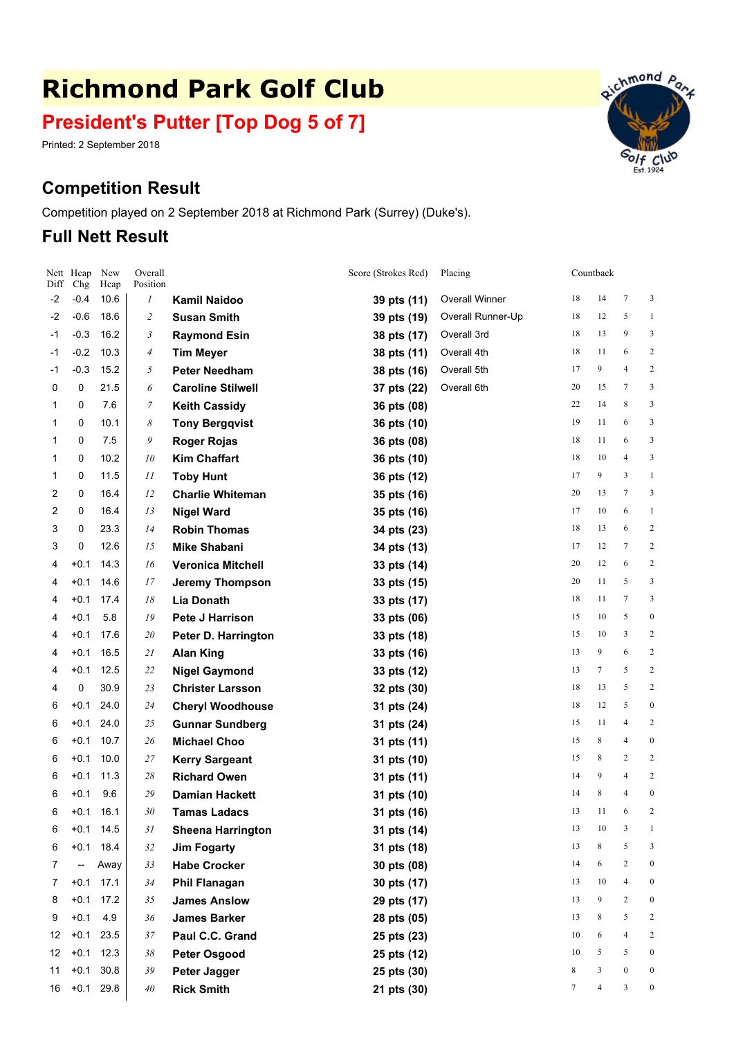# **Richmond Park Golf Club**

# **President's Putter [Top Dog 5 of 7]**

Printed: 2 September 2018

## **Competition Result**

Competition played on 2 September 2018 at Richmond Park (Surrey) (Duke's).

### **Full Nett Result**

 $H(x)$ 

Overall Position

Nett Hcap New

 $D$  $\Gamma$ 

| DIII | Cng    | нсар     | Position                 |                          |             |                   |    |                |                  |                |
|------|--------|----------|--------------------------|--------------------------|-------------|-------------------|----|----------------|------------------|----------------|
| -2   | $-0.4$ | 10.6     | 1                        | <b>Kamil Naidoo</b>      | 39 pts (11) | Overall Winner    | 18 | 14             | 7                | 3              |
| -2   | $-0.6$ | 18.6     | $\overline{\mathcal{L}}$ | <b>Susan Smith</b>       | 39 pts (19) | Overall Runner-Up | 18 | 12             | 5                |                |
| -1   | $-0.3$ | 16.2     | 3                        | <b>Raymond Esin</b>      | 38 pts (17) | Overall 3rd       | 18 | 13             | 9                | 3              |
| -1   | $-0.2$ | 10.3     | $\overline{4}$           | <b>Tim Meyer</b>         | 38 pts (11) | Overall 4th       | 18 | 11             | 6                | 2              |
| -1   | $-0.3$ | 15.2     | 5                        | <b>Peter Needham</b>     | 38 pts (16) | Overall 5th       | 17 | 9              | $\overline{4}$   |                |
| 0    | 0      | 21.5     | 6                        | <b>Caroline Stilwell</b> | 37 pts (22) | Overall 6th       | 20 | 15             | 7                | 3              |
| 1    | 0      | 7.6      | 7                        | <b>Keith Cassidy</b>     | 36 pts (08) |                   | 22 | 14             | 8                | 3              |
| 1    | 0      | 10.1     | 8                        | <b>Tony Bergqvist</b>    | 36 pts (10) |                   | 19 | 11             | 6                | 3              |
| 1    | 0      | 7.5      | 9                        | <b>Roger Rojas</b>       | 36 pts (08) |                   | 18 | 11             | 6                |                |
| 1    | 0      | 10.2     | 10                       | <b>Kim Chaffart</b>      | 36 pts (10) |                   | 18 | 10             | $\overline{4}$   |                |
| 1    | 0      | 11.5     | 11                       | <b>Toby Hunt</b>         | 36 pts (12) |                   | 17 | 9              | 3                |                |
| 2    | 0      | 16.4     | 12                       | <b>Charlie Whiteman</b>  | 35 pts (16) |                   | 20 | 13             | 7                | 3              |
| 2    | 0      | 16.4     | 13                       | <b>Nigel Ward</b>        | 35 pts (16) |                   | 17 | 10             | 6                |                |
| 3    | 0      | 23.3     | 14                       | <b>Robin Thomas</b>      | 34 pts (23) |                   | 18 | 13             | 6                | 2              |
| 3    | 0      | 12.6     | 15                       | <b>Mike Shabani</b>      | 34 pts (13) |                   | 17 | 12             | $\tau$           |                |
| 4    | $+0.1$ | 14.3     | 16                       | <b>Veronica Mitchell</b> | 33 pts (14) |                   | 20 | 12             | 6                | 2              |
| 4    | $+0.1$ | 14.6     | 17                       | <b>Jeremy Thompson</b>   | 33 pts (15) |                   | 20 | 11             | 5                | 3              |
| 4    | $+0.1$ | 17.4     | 18                       | <b>Lia Donath</b>        | 33 pts (17) |                   | 18 | 11             | $\tau$           | 3              |
| 4    | $+0.1$ | 5.8      | 19                       | <b>Pete J Harrison</b>   | 33 pts (06) |                   | 15 | 10             | 5                | €              |
| 4    | $+0.1$ | 17.6     | 20                       | Peter D. Harrington      | 33 pts (18) |                   | 15 | 10             | 3                |                |
| 4    | $+0.1$ | 16.5     | 21                       | <b>Alan King</b>         | 33 pts (16) |                   | 13 | 9              | 6                | 2              |
| 4    | $+0.1$ | 12.5     | 22                       | <b>Nigel Gaymond</b>     | 33 pts (12) |                   | 13 | 7              | 5                | 2              |
| 4    | 0      | 30.9     | 23                       | <b>Christer Larsson</b>  | 32 pts (30) |                   | 18 | 13             | 5                | 2              |
| 6    | $+0.1$ | 24.0     | 24                       | <b>Cheryl Woodhouse</b>  | 31 pts (24) |                   | 18 | 12             | 5                | $\overline{C}$ |
| 6    | $+0.1$ | 24.0     | 25                       | <b>Gunnar Sundberg</b>   | 31 pts (24) |                   | 15 | 11             | 4                | 2              |
| 6    | $+0.1$ | 10.7     | 26                       | <b>Michael Choo</b>      | 31 pts (11) |                   | 15 | 8              | $\overline{4}$   | 0              |
| 6    | $+0.1$ | 10.0     | 27                       | <b>Kerry Sargeant</b>    | 31 pts (10) |                   | 15 | 8              | 2                | 2              |
| 6    | $+0.1$ | 11.3     | 28                       | <b>Richard Owen</b>      | 31 pts (11) |                   | 14 | 9              | 4                | 2              |
| 6    | $+0.1$ | 9.6      | 29                       | <b>Damian Hackett</b>    | 31 pts (10) |                   | 14 | 8              | 4                | $\overline{C}$ |
| 6    | $+0.1$ | 16.1     | 30                       | <b>Tamas Ladacs</b>      | 31 pts (16) |                   | 13 | 11             | 6                | 2              |
| 6    | $+0.1$ | 14.5     | 31                       | <b>Sheena Harrington</b> | 31 pts (14) |                   | 13 | 10             | 3                |                |
| 6    | $+0.1$ | 18.4     | 32                       | <b>Jim Fogarty</b>       | 31 pts (18) |                   | 13 | $\,$ 8 $\,$    | 5                |                |
| 7    | --     | Away     | 33                       | <b>Habe Crocker</b>      | 30 pts (08) |                   | 14 | 6              | $\overline{c}$   |                |
| 7    | $+0.1$ | 17.1     | 34                       | <b>Phil Flanagan</b>     | 30 pts (17) |                   | 13 | 10             | $\overline{4}$   |                |
| 8    | $+0.1$ | 17.2     | 35                       | <b>James Anslow</b>      | 29 pts (17) |                   | 13 | 9              | $\overline{c}$   |                |
| 9    | $+0.1$ | 4.9      | 36                       | <b>James Barker</b>      | 28 pts (05) |                   | 13 | 8              | 5                |                |
| 12   | $+0.1$ | 23.5     | $37\,$                   | Paul C.C. Grand          | 25 pts (23) |                   | 10 | 6              | $\overline{4}$   |                |
| 12   | $+0.1$ | 12.3     | 38                       | <b>Peter Osgood</b>      | 25 pts (12) |                   | 10 | 5              | 5                |                |
| 11   | $+0.1$ | $30.8\,$ | 39                       | Peter Jagger             | 25 pts (30) |                   | 8  | $\mathfrak{Z}$ | $\boldsymbol{0}$ |                |

<sup>16</sup> +0.1 29.8 *<sup>40</sup>* **Rick Smith 21 pts (30)** <sup>7</sup> <sup>4</sup> <sup>3</sup> <sup>0</sup>



Score (Strokes Rcd) Placing Countback